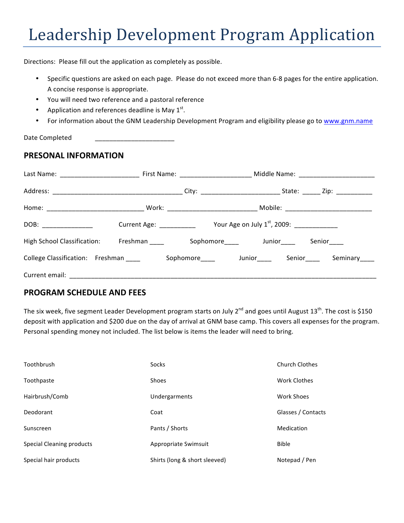Directions: Please fill out the application as completely as possible.

- Specific questions are asked on each page. Please do not exceed more than 6-8 pages for the entire application. A concise response is appropriate.
- You will need two reference and a pastoral reference
- Application and references deadline is May  $1^{st}$ .
- For information about the GNM Leadership Development Program and eligibility please go to www.gnm.name

Date Completed

# **PRESONAL INFORMATION**

| DOB: ____________                    | Current Age: ___________ | Your Age on July $1^{st}$ , 2009: ____________ |             |
|--------------------------------------|--------------------------|------------------------------------------------|-------------|
| High School Classification: Freshman |                          | Sophomore Junior                               | Senior_____ |
| College Classification: Freshman     |                          | Sophomore Junior Senior Senior Seminary        |             |
|                                      |                          |                                                |             |

#### **PROGRAM SCHEDULE AND FEES**

The six week, five segment Leader Development program starts on July  $2^{nd}$  and goes until August  $13^{th}$ . The cost is \$150 deposit with application and \$200 due on the day of arrival at GNM base camp. This covers all expenses for the program. Personal spending money not included. The list below is items the leader will need to bring.

| Toothbrush                | Socks                         | <b>Church Clothes</b> |
|---------------------------|-------------------------------|-----------------------|
| Toothpaste                | Shoes                         | Work Clothes          |
| Hairbrush/Comb            | Undergarments                 | Work Shoes            |
| Deodorant                 | Coat                          | Glasses / Contacts    |
| Sunscreen                 | Pants / Shorts                | Medication            |
| Special Cleaning products | Appropriate Swimsuit          | <b>Bible</b>          |
| Special hair products     | Shirts (long & short sleeved) | Notepad / Pen         |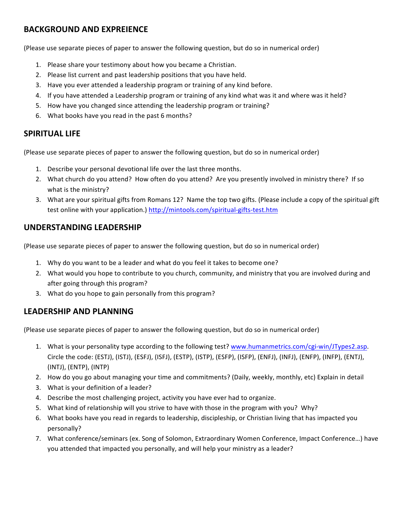## **BACKGROUND AND EXPREIENCE**

(Please use separate pieces of paper to answer the following question, but do so in numerical order)

- 1. Please share your testimony about how you became a Christian.
- 2. Please list current and past leadership positions that you have held.
- 3. Have you ever attended a leadership program or training of any kind before.
- 4. If you have attended a Leadership program or training of any kind what was it and where was it held?
- 5. How have you changed since attending the leadership program or training?
- 6. What books have you read in the past 6 months?

#### **SPIRITUAL LIFE**

(Please use separate pieces of paper to answer the following question, but do so in numerical order)

- 1. Describe your personal devotional life over the last three months.
- 2. What church do you attend? How often do you attend? Are you presently involved in ministry there? If so what is the ministry?
- 3. What are your spiritual gifts from Romans 12? Name the top two gifts. (Please include a copy of the spiritual gift test online with your application.) http://mintools.com/spiritual-gifts-test.htm

### **UNDERSTANDING LEADERSHIP**

(Please use separate pieces of paper to answer the following question, but do so in numerical order)

- 1. Why do you want to be a leader and what do you feel it takes to become one?
- 2. What would you hope to contribute to you church, community, and ministry that you are involved during and after going through this program?
- 3. What do you hope to gain personally from this program?

#### LEADERSHIP AND PLANNING

(Please use separate pieces of paper to answer the following question, but do so in numerical order)

- 1. What is your personality type according to the following test? www.humanmetrics.com/cgi-win/JTypes2.asp. Circle the code: (ESTJ), (ISTJ), (ESFJ), (ISFJ), (ESTP), (ISTP), (ESFP), (ISFP), (ENFJ), (INFJ), (ENFP), (INFP), (ENTJ), (INTJ), (ENTP), (INTP)
- 2. How do you go about managing your time and commitments? (Daily, weekly, monthly, etc) Explain in detail
- 3. What is your definition of a leader?
- 4. Describe the most challenging project, activity you have ever had to organize.
- 5. What kind of relationship will you strive to have with those in the program with you? Why?
- 6. What books have you read in regards to leadership, discipleship, or Christian living that has impacted you personally?
- 7. What conference/seminars (ex. Song of Solomon, Extraordinary Women Conference, Impact Conference...) have you attended that impacted you personally, and will help your ministry as a leader?